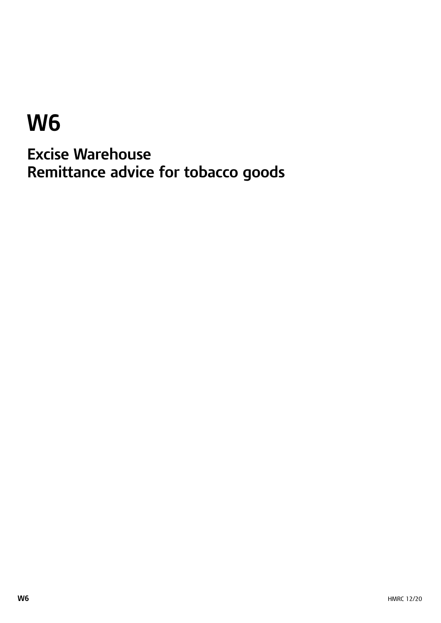# **W6**

**Excise Warehouse Remittance advice for tobacco goods**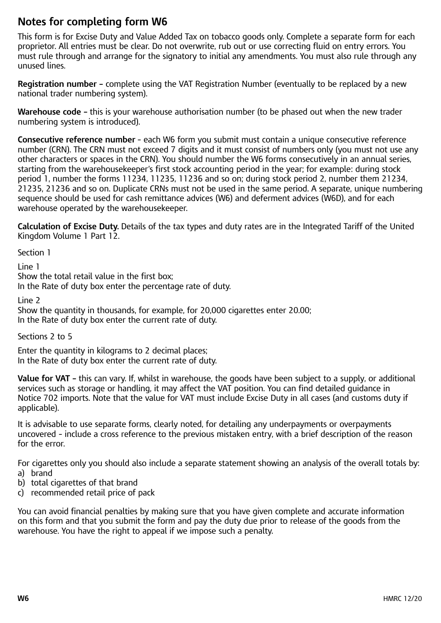## **Notes for completing form W6**

This form is for Excise Duty and Value Added Tax on tobacco goods only. Complete a separate form for each proprietor. All entries must be clear. Do not overwrite, rub out or use correcting fluid on entry errors. You must rule through and arrange for the signatory to initial any amendments. You must also rule through any unused lines.

**Registration number –** complete using the VAT Registration Number (eventually to be replaced by a new national trader numbering system).

**Warehouse code –** this is your warehouse authorisation number (to be phased out when the new trader numbering system is introduced).

**Consecutive reference number** – each W6 form you submit must contain a unique consecutive reference number (CRN). The CRN must not exceed 7 digits and it must consist of numbers only (you must not use any other characters or spaces in the CRN). You should number the W6 forms consecutively in an annual series, starting from the warehousekeeper's first stock accounting period in the year; for example: during stock period 1, number the forms 11234, 11235, 11236 and so on; during stock period 2, number them 21234, 21235, 21236 and so on. Duplicate CRNs must not be used in the same period. A separate, unique numbering sequence should be used for cash remittance advices (W6) and deferment advices (W6D), and for each warehouse operated by the warehousekeeper.

**Calculation of Excise Duty.** Details of the tax types and duty rates are in the Integrated Tariff of the United Kingdom Volume 1 Part 12.

Section 1

Line 1

Show the total retail value in the first box;

In the Rate of duty box enter the percentage rate of duty.

Line 2

Show the quantity in thousands, for example, for 20,000 cigarettes enter 20.00; In the Rate of duty box enter the current rate of duty.

Sections 2 to 5

Enter the quantity in kilograms to 2 decimal places; In the Rate of duty box enter the current rate of duty.

**Value for VAT –** this can vary. If, whilst in warehouse, the goods have been subject to a supply, or additional services such as storage or handling, it may affect the VAT position. You can find detailed guidance in Notice 702 imports. Note that the value for VAT must include Excise Duty in all cases (and customs duty if applicable).

It is advisable to use separate forms, clearly noted, for detailing any underpayments or overpayments uncovered – include a cross reference to the previous mistaken entry, with a brief description of the reason for the error.

For cigarettes only you should also include a separate statement showing an analysis of the overall totals by:

- a) brand
- b) total cigarettes of that brand
- c) recommended retail price of pack

You can avoid financial penalties by making sure that you have given complete and accurate information on this form and that you submit the form and pay the duty due prior to release of the goods from the warehouse. You have the right to appeal if we impose such a penalty.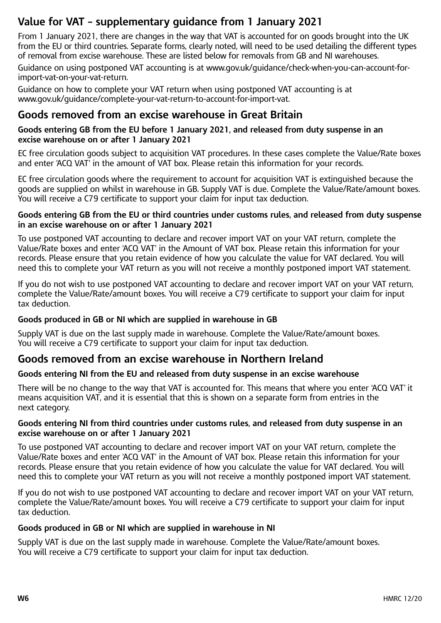# **Value for VAT – supplementary guidance from 1 January 2021**

From 1 January 2021, there are changes in the way that VAT is accounted for on goods brought into the UK from the EU or third countries. Separate forms, clearly noted, will need to be used detailing the different types of removal from excise warehouse. These are listed below for removals from GB and NI warehouses.

Guidance on using postponed VAT accounting is at www.gov.uk/guidance/check-when-you-can-account-forimport-vat-on-your-vat-return.

Guidance on how to complete your VAT return when using postponed VAT accounting is at <www.gov.uk/guidance/complete-your-vat-return-to-account-for-import-vat>.

### **Goods removed from an excise warehouse in Great Britain**

#### **Goods entering GB from the EU before 1 January 2021, and released from duty suspense in an excise warehouse on or after 1 January 2021**

EC free circulation goods subject to acquisition VAT procedures. In these cases complete the Value/Rate boxes and enter 'ACQ VAT' in the amount of VAT box. Please retain this information for your records.

EC free circulation goods where the requirement to account for acquisition VAT is extinguished because the goods are supplied on whilst in warehouse in GB. Supply VAT is due. Complete the Value/Rate/amount boxes. You will receive a C79 certificate to support your claim for input tax deduction.

#### **Goods entering GB from the EU or third countries under customs rules, and released from duty suspense in an excise warehouse on or after 1 January 2021**

To use postponed VAT accounting to declare and recover import VAT on your VAT return, complete the Value/Rate boxes and enter 'ACQ VAT' in the Amount of VAT box. Please retain this information for your records. Please ensure that you retain evidence of how you calculate the value for VAT declared. You will need this to complete your VAT return as you will not receive a monthly postponed import VAT statement.

If you do not wish to use postponed VAT accounting to declare and recover import VAT on your VAT return, complete the Value/Rate/amount boxes. You will receive a C79 certificate to support your claim for input tax deduction.

#### **Goods produced in GB or NI which are supplied in warehouse in GB**

Supply VAT is due on the last supply made in warehouse. Complete the Value/Rate/amount boxes. You will receive a C79 certificate to support your claim for input tax deduction.

## **Goods removed from an excise warehouse in Northern Ireland**

#### **Goods entering NI from the EU and released from duty suspense in an excise warehouse**

There will be no change to the way that VAT is accounted for. This means that where you enter 'ACQ VAT' it means acquisition VAT, and it is essential that this is shown on a separate form from entries in the next category.

#### **Goods entering NI from third countries under customs rules, and released from duty suspense in an excise warehouse on or after 1 January 2021**

To use postponed VAT accounting to declare and recover import VAT on your VAT return, complete the Value/Rate boxes and enter 'ACQ VAT' in the Amount of VAT box. Please retain this information for your records. Please ensure that you retain evidence of how you calculate the value for VAT declared. You will need this to complete your VAT return as you will not receive a monthly postponed import VAT statement.

If you do not wish to use postponed VAT accounting to declare and recover import VAT on your VAT return, complete the Value/Rate/amount boxes. You will receive a C79 certificate to support your claim for input tax deduction.

#### **Goods produced in GB or NI which are supplied in warehouse in NI**

Supply VAT is due on the last supply made in warehouse. Complete the Value/Rate/amount boxes. You will receive a C79 certificate to support your claim for input tax deduction.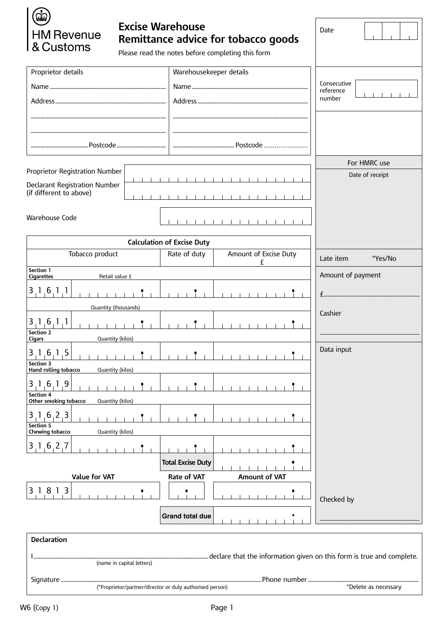| <b>Excise Warehouse</b>                                  |                      |                                   |                                                   | Date                     |  |  |  |
|----------------------------------------------------------|----------------------|-----------------------------------|---------------------------------------------------|--------------------------|--|--|--|
| <b>HM Revenue</b><br>& Customs                           |                      |                                   | Remittance advice for tobacco goods               |                          |  |  |  |
|                                                          |                      |                                   | Please read the notes before completing this form |                          |  |  |  |
| Proprietor details                                       |                      |                                   |                                                   |                          |  |  |  |
|                                                          |                      |                                   |                                                   | Consecutive<br>reference |  |  |  |
|                                                          |                      |                                   |                                                   | number                   |  |  |  |
|                                                          |                      |                                   |                                                   |                          |  |  |  |
|                                                          |                      |                                   |                                                   |                          |  |  |  |
|                                                          |                      |                                   |                                                   |                          |  |  |  |
|                                                          | For HMRC use         |                                   |                                                   |                          |  |  |  |
| Proprietor Registration Number                           | Date of receipt      |                                   |                                                   |                          |  |  |  |
| <b>Declarant Registration Number</b>                     |                      |                                   |                                                   |                          |  |  |  |
| (if different to above)                                  |                      |                                   |                                                   |                          |  |  |  |
| Warehouse Code                                           |                      |                                   |                                                   |                          |  |  |  |
|                                                          |                      |                                   | .                                                 |                          |  |  |  |
|                                                          |                      | <b>Calculation of Excise Duty</b> |                                                   |                          |  |  |  |
| Tobacco product                                          |                      | Rate of duty                      | Amount of Excise Duty<br>£                        | Late item<br>*Yes/No     |  |  |  |
| Section 1<br>Retail value £<br><b>Cigarettes</b>         | Amount of payment    |                                   |                                                   |                          |  |  |  |
| 3, 1, 6, 1, 1                                            |                      |                                   |                                                   |                          |  |  |  |
| Quantity (thousands)                                     |                      |                                   |                                                   |                          |  |  |  |
| 1, 6, 1, 1                                               | Cashier              |                                   |                                                   |                          |  |  |  |
| <b>Section 2</b>                                         |                      |                                   |                                                   |                          |  |  |  |
| <b>Cigars</b><br>Quantity (kilos)                        | Data input           |                                   |                                                   |                          |  |  |  |
| 3 1 6 1 5<br>Section 3                                   |                      |                                   |                                                   |                          |  |  |  |
| Hand rolling tobacco<br>Quantity (kilos)                 |                      |                                   |                                                   |                          |  |  |  |
| 3, 1, 6, 1, 9<br>Section 4                               |                      |                                   |                                                   |                          |  |  |  |
| Other smoking tobacco                                    | Quantity (kilos)     |                                   |                                                   |                          |  |  |  |
| $3 \, 1 \, 6 \, 2 \, 3$                                  |                      |                                   |                                                   |                          |  |  |  |
| Section 5<br>Chewing tobacco<br>Quantity (kilos)         |                      |                                   |                                                   |                          |  |  |  |
| $3 \ 1 \ 6 \ 2 \ 7$                                      |                      |                                   |                                                   |                          |  |  |  |
|                                                          |                      | <b>Total Excise Duty</b>          |                                                   |                          |  |  |  |
| Value for VAT                                            |                      | Rate of VAT                       | Amount of VAT                                     |                          |  |  |  |
| 3 1 8 1 3                                                |                      |                                   |                                                   |                          |  |  |  |
|                                                          |                      |                                   |                                                   | Checked by               |  |  |  |
|                                                          |                      | <b>Grand total due</b>            |                                                   |                          |  |  |  |
| <b>Declaration</b>                                       |                      |                                   |                                                   |                          |  |  |  |
|                                                          |                      |                                   |                                                   |                          |  |  |  |
| (name in capital letters)                                |                      |                                   |                                                   |                          |  |  |  |
| (*Proprietor/partner/director or duly authorised person) |                      |                                   |                                                   |                          |  |  |  |
|                                                          | *Delete as necessary |                                   |                                                   |                          |  |  |  |